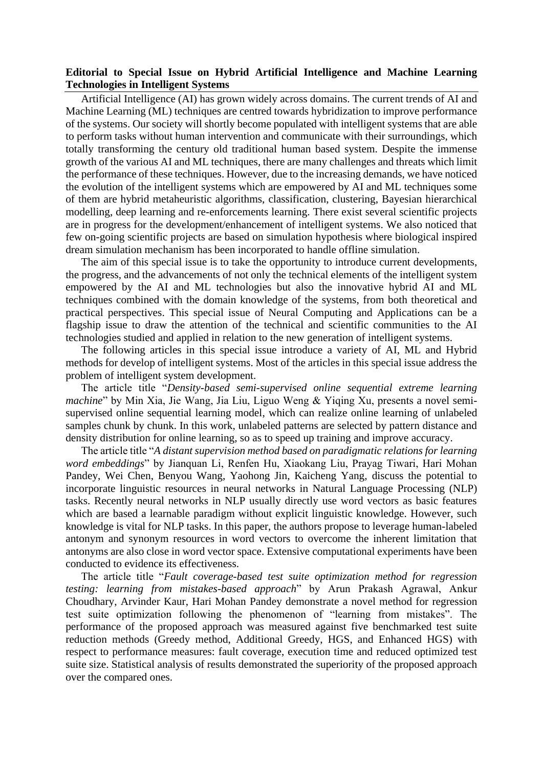## **Editorial to Special Issue on Hybrid Artificial Intelligence and Machine Learning Technologies in Intelligent Systems**

Artificial Intelligence (AI) has grown widely across domains. The current trends of AI and Machine Learning (ML) techniques are centred towards hybridization to improve performance of the systems. Our society will shortly become populated with intelligent systems that are able to perform tasks without human intervention and communicate with their surroundings, which totally transforming the century old traditional human based system. Despite the immense growth of the various AI and ML techniques, there are many challenges and threats which limit the performance of these techniques. However, due to the increasing demands, we have noticed the evolution of the intelligent systems which are empowered by AI and ML techniques some of them are hybrid metaheuristic algorithms, classification, clustering, Bayesian hierarchical modelling, deep learning and re-enforcements learning. There exist several scientific projects are in progress for the development/enhancement of intelligent systems. We also noticed that few on-going scientific projects are based on simulation hypothesis where biological inspired dream simulation mechanism has been incorporated to handle offline simulation.

The aim of this special issue is to take the opportunity to introduce current developments, the progress, and the advancements of not only the technical elements of the intelligent system empowered by the AI and ML technologies but also the innovative hybrid AI and ML techniques combined with the domain knowledge of the systems, from both theoretical and practical perspectives. This special issue of Neural Computing and Applications can be a flagship issue to draw the attention of the technical and scientific communities to the AI technologies studied and applied in relation to the new generation of intelligent systems.

The following articles in this special issue introduce a variety of AI, ML and Hybrid methods for develop of intelligent systems. Most of the articles in this special issue address the problem of intelligent system development.

The article title "*Density-based semi-supervised online sequential extreme learning machine*" by Min Xia, Jie Wang, Jia Liu, Liguo Weng & Yiqing Xu, presents a novel semisupervised online sequential learning model, which can realize online learning of unlabeled samples chunk by chunk. In this work, unlabeled patterns are selected by pattern distance and density distribution for online learning, so as to speed up training and improve accuracy.

The article title "*A distant supervision method based on paradigmatic relations for learning word embeddings*" by Jianquan Li, Renfen Hu, Xiaokang Liu, Prayag Tiwari, Hari Mohan Pandey, Wei Chen, Benyou Wang, Yaohong Jin, Kaicheng Yang, discuss the potential to incorporate linguistic resources in neural networks in Natural Language Processing (NLP) tasks. Recently neural networks in NLP usually directly use word vectors as basic features which are based a learnable paradigm without explicit linguistic knowledge. However, such knowledge is vital for NLP tasks. In this paper, the authors propose to leverage human-labeled antonym and synonym resources in word vectors to overcome the inherent limitation that antonyms are also close in word vector space. Extensive computational experiments have been conducted to evidence its effectiveness.

The article title "*Fault coverage-based test suite optimization method for regression testing: learning from mistakes-based approach*" by Arun Prakash Agrawal, Ankur Choudhary, Arvinder Kaur, Hari Mohan Pandey demonstrate a novel method for regression test suite optimization following the phenomenon of "learning from mistakes". The performance of the proposed approach was measured against five benchmarked test suite reduction methods (Greedy method, Additional Greedy, HGS, and Enhanced HGS) with respect to performance measures: fault coverage, execution time and reduced optimized test suite size. Statistical analysis of results demonstrated the superiority of the proposed approach over the compared ones.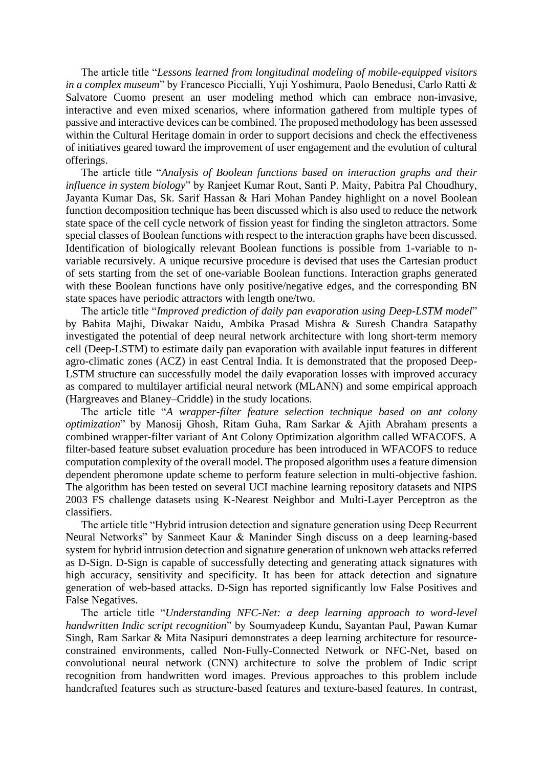The article title "*Lessons learned from longitudinal modeling of mobile-equipped visitors in a complex museum*" by Francesco Piccialli, Yuji Yoshimura, Paolo Benedusi, Carlo Ratti & Salvatore Cuomo present an user modeling method which can embrace non-invasive, interactive and even mixed scenarios, where information gathered from multiple types of passive and interactive devices can be combined. The proposed methodology has been assessed within the Cultural Heritage domain in order to support decisions and check the effectiveness of initiatives geared toward the improvement of user engagement and the evolution of cultural offerings.

The article title "*Analysis of Boolean functions based on interaction graphs and their influence in system biology*" by Ranjeet Kumar Rout, Santi P. Maity, Pabitra Pal Choudhury, Jayanta Kumar Das, Sk. Sarif Hassan & Hari Mohan Pandey highlight on a novel Boolean function decomposition technique has been discussed which is also used to reduce the network state space of the cell cycle network of fission yeast for finding the singleton attractors. Some special classes of Boolean functions with respect to the interaction graphs have been discussed. Identification of biologically relevant Boolean functions is possible from 1-variable to nvariable recursively. A unique recursive procedure is devised that uses the Cartesian product of sets starting from the set of one-variable Boolean functions. Interaction graphs generated with these Boolean functions have only positive/negative edges, and the corresponding BN state spaces have periodic attractors with length one/two.

The article title "*Improved prediction of daily pan evaporation using Deep-LSTM model*" by Babita Majhi, Diwakar Naidu, Ambika Prasad Mishra & Suresh Chandra Satapathy investigated the potential of deep neural network architecture with long short-term memory cell (Deep-LSTM) to estimate daily pan evaporation with available input features in different agro-climatic zones (ACZ) in east Central India. It is demonstrated that the proposed Deep-LSTM structure can successfully model the daily evaporation losses with improved accuracy as compared to multilayer artificial neural network (MLANN) and some empirical approach (Hargreaves and Blaney–Criddle) in the study locations.

The article title "*A wrapper-filter feature selection technique based on ant colony optimization*" by Manosij Ghosh, Ritam Guha, Ram Sarkar & Ajith Abraham presents a combined wrapper-filter variant of Ant Colony Optimization algorithm called WFACOFS. A filter-based feature subset evaluation procedure has been introduced in WFACOFS to reduce computation complexity of the overall model. The proposed algorithm uses a feature dimension dependent pheromone update scheme to perform feature selection in multi-objective fashion. The algorithm has been tested on several UCI machine learning repository datasets and NIPS 2003 FS challenge datasets using K-Nearest Neighbor and Multi-Layer Perceptron as the classifiers.

The article title "Hybrid intrusion detection and signature generation using Deep Recurrent Neural Networks" by Sanmeet Kaur & Maninder Singh discuss on a deep learning-based system for hybrid intrusion detection and signature generation of unknown web attacks referred as D-Sign. D-Sign is capable of successfully detecting and generating attack signatures with high accuracy, sensitivity and specificity. It has been for attack detection and signature generation of web-based attacks. D-Sign has reported significantly low False Positives and False Negatives.

The article title "*Understanding NFC-Net: a deep learning approach to word-level handwritten Indic script recognition*" by Soumyadeep Kundu, Sayantan Paul, Pawan Kumar Singh, Ram Sarkar & Mita Nasipuri demonstrates a deep learning architecture for resourceconstrained environments, called Non-Fully-Connected Network or NFC-Net, based on convolutional neural network (CNN) architecture to solve the problem of Indic script recognition from handwritten word images. Previous approaches to this problem include handcrafted features such as structure-based features and texture-based features. In contrast,